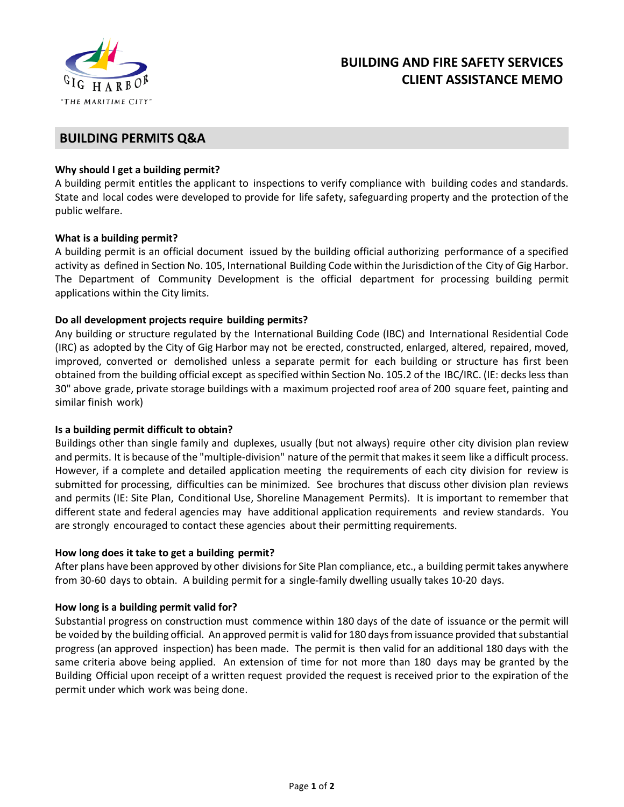

# **BUILDING AND FIRE SAFETY SERVICES CLIENT ASSISTANCE MEMO**

## **BUILDING PERMITS Q&A**

## **Why should I get a building permit?**

A building permit entitles the applicant to inspections to verify compliance with building codes and standards. State and local codes were developed to provide for life safety, safeguarding property and the protection of the public welfare.

## **What is a building permit?**

A building permit is an official document issued by the building official authorizing performance of a specified activity as defined in Section No. 105, International Building Code within the Jurisdiction of the City of Gig Harbor. The Department of Community Development is the official department for processing building permit applications within the City limits.

## **Do all development projects require building permits?**

Any building or structure regulated by the International Building Code (IBC) and International Residential Code (IRC) as adopted by the City of Gig Harbor may not be erected, constructed, enlarged, altered, repaired, moved, improved, converted or demolished unless a separate permit for each building or structure has first been obtained from the building official except as specified within Section No. 105.2 of the IBC/IRC. (IE: decks less than 30" above grade, private storage buildings with a maximum projected roof area of 200 square feet, painting and similar finish work)

#### **Is a building permit difficult to obtain?**

Buildings other than single family and duplexes, usually (but not always) require other city division plan review and permits. It is because of the "multiple-division" nature of the permit that makes it seem like a difficult process. However, if a complete and detailed application meeting the requirements of each city division for review is submitted for processing, difficulties can be minimized. See brochures that discuss other division plan reviews and permits (IE: Site Plan, Conditional Use, Shoreline Management Permits). It is important to remember that different state and federal agencies may have additional application requirements and review standards. You are strongly encouraged to contact these agencies about their permitting requirements.

#### **How long does it take to get a building permit?**

After plans have been approved by other divisions for Site Plan compliance, etc., a building permit takes anywhere from 30-60 days to obtain. A building permit for a single-family dwelling usually takes 10-20 days.

#### **How long is a building permit valid for?**

Substantial progress on construction must commence within 180 days of the date of issuance or the permit will be voided by the building official. An approved permit is valid for 180 days from issuance provided that substantial progress (an approved inspection) has been made. The permit is then valid for an additional 180 days with the same criteria above being applied. An extension of time for not more than 180 days may be granted by the Building Official upon receipt of a written request provided the request is received prior to the expiration of the permit under which work was being done.